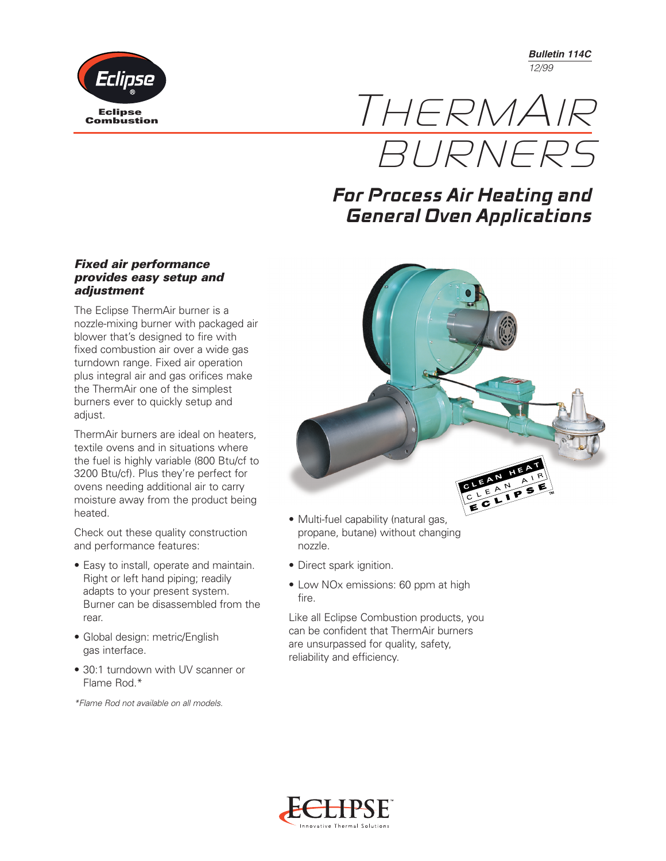*Bulletin 114C 12/99*



THERMAIR **BURNERS** 

## **For Process Air Heating and General Oven Applications**

## *Fixed air performance provides easy setup and adjustment*

The Eclipse ThermAir burner is a nozzle-mixing burner with packaged air blower that's designed to fire with fixed combustion air over a wide gas turndown range. Fixed air operation plus integral air and gas orifices make the ThermAir one of the simplest burners ever to quickly setup and adjust.

ThermAir burners are ideal on heaters, textile ovens and in situations where the fuel is highly variable (800 Btu/cf to 3200 Btu/cf). Plus they're perfect for ovens needing additional air to carry moisture away from the product being heated.

Check out these quality construction and performance features:

- Easy to install, operate and maintain. Right or left hand piping; readily adapts to your present system. Burner can be disassembled from the rear.
- Global design: metric/English gas interface.
- 30:1 turndown with UV scanner or Flame Rod.\*

*\*Flame Rod not available on all models.*



- Multi-fuel capability (natural gas, propane, butane) without changing nozzle.
- Direct spark ignition.
- Low NO<sub>x</sub> emissions: 60 ppm at high fire.

Like all Eclipse Combustion products, you can be confident that ThermAir burners are unsurpassed for quality, safety, reliability and efficiency.